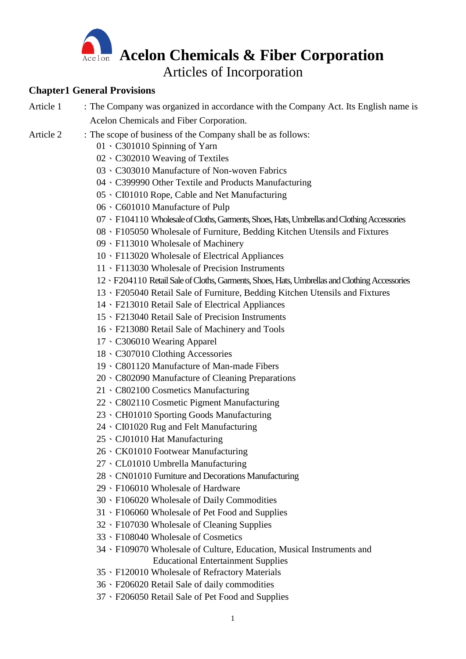

# **Chapter1 General Provisions**

- Article 1 : The Company was organized in accordance with the Company Act. Its English name is Acelon Chemicals and Fiber Corporation.
- Article 2 : The scope of business of the Company shall be as follows:
	- 、C301010 Spinning of Yarn
	- 、C302010 Weaving of Textiles
	- 、C303010 Manufacture of Non-woven Fabrics
	- 、C399990 Other Textile and Products Manufacturing
	- 、CI01010 Rope, Cable and Net Manufacturing
	- 、C601010 Manufacture of Pulp
	- 07 F104110 Wholesale of Cloths, Garments, Shoes, Hats, Umbrellas and Clothing Accessories
	- 、F105050 Wholesale of Furniture, Bedding Kitchen Utensils and Fixtures
	- 、F113010 Wholesale of Machinery
	- 、F113020 Wholesale of Electrical Appliances
	- 、F113030 Wholesale of Precision Instruments
	- 、F204110 Retail Sale of Cloths, Garments, Shoes, Hats, Umbrellas and Clothing Accessories
	- 、F205040 Retail Sale of Furniture, Bedding Kitchen Utensils and Fixtures
	- 、F213010 Retail Sale of Electrical Appliances
	- 、F213040 Retail Sale of Precision Instruments
	- 、F213080 Retail Sale of Machinery and Tools
	- 、C306010 Wearing Apparel
	- 、C307010 Clothing Accessories
	- 、C801120 Manufacture of Man-made Fibers
	- 、C802090 Manufacture of Cleaning Preparations
	- 、C802100 Cosmetics Manufacturing
	- 、C802110 Cosmetic Pigment Manufacturing
	- 、CH01010 Sporting Goods Manufacturing
	- 、CI01020 Rug and Felt Manufacturing
	- 、CJ01010 Hat Manufacturing
	- 、CK01010 Footwear Manufacturing
	- 、CL01010 Umbrella Manufacturing
	- 、CN01010 Furniture and Decorations Manufacturing
	- 、F106010 Wholesale of Hardware
	- 、F106020 Wholesale of Daily Commodities
	- 、F106060 Wholesale of Pet Food and Supplies
	- 、F107030 Wholesale of Cleaning Supplies
	- 、F108040 Wholesale of Cosmetics
	- 、F109070 Wholesale of Culture, Education, Musical Instruments and Educational Entertainment Supplies
	- 、F120010 Wholesale of Refractory Materials
	- 、F206020 Retail Sale of daily commodities
	- 、F206050 Retail Sale of Pet Food and Supplies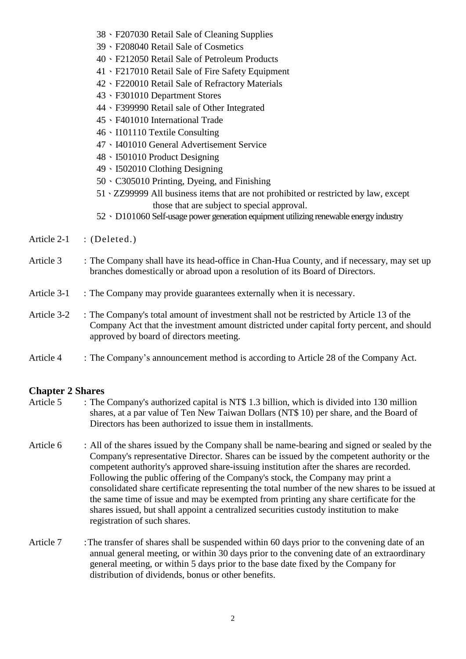- 38、F207030 Retail Sale of Cleaning Supplies
- 39、F208040 Retail Sale of Cosmetics
- 40、F212050 Retail Sale of Petroleum Products
- 41、F217010 Retail Sale of Fire Safety Equipment
- 42、F220010 Retail Sale of Refractory Materials
- 43、F301010 Department Stores
- 44、F399990 Retail sale of Other Integrated
- 45、F401010 International Trade
- 46、I101110 Textile Consulting
- 47、I401010 General Advertisement Service
- 48、I501010 Product Designing
- 49、I502010 Clothing Designing
- 50、C305010 Printing, Dyeing, and Finishing
- 51、ZZ99999 All business items that are not prohibited or restricted by law, except those that are subject to special approval.
- 52、D101060 Self-usage power generation equipment utilizing renewable energy industry
- Article 2-1 : (Deleted.)
- Article 3 : The Company shall have its head-office in Chan-Hua County, and if necessary, may set up branches domestically or abroad upon a resolution of its Board of Directors.
- Article 3-1 : The Company may provide guarantees externally when it is necessary.
- Article 3-2 : The Company's total amount of investment shall not be restricted by Article 13 of the Company Act that the investment amount districted under capital forty percent, and should approved by board of directors meeting.
- Article 4 : The Company's announcement method is according to Article 28 of the Company Act.

# **Chapter 2 Shares**

- Article 5 : The Company's authorized capital is NT\$ 1.3 billion, which is divided into 130 million shares, at a par value of Ten New Taiwan Dollars (NT\$ 10) per share, and the Board of Directors has been authorized to issue them in installments.
- Article 6 : All of the shares issued by the Company shall be name-bearing and signed or sealed by the Company's representative Director. Shares can be issued by the competent authority or the competent authority's approved share-issuing institution after the shares are recorded. Following the public offering of the Company's stock, the Company may print a consolidated share certificate representing the total number of the new shares to be issued at the same time of issue and may be exempted from printing any share certificate for the shares issued, but shall appoint a centralized securities custody institution to make registration of such shares.
- Article 7 :The transfer of shares shall be suspended within 60 days prior to the convening date of an annual general meeting, or within 30 days prior to the convening date of an extraordinary general meeting, or within 5 days prior to the base date fixed by the Company for distribution of dividends, bonus or other benefits.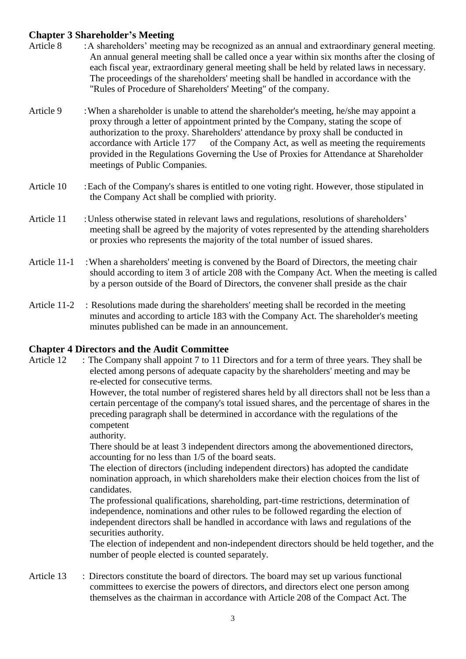# **Chapter 3 Shareholder's Meeting**

- Article 8 : A shareholders' meeting may be recognized as an annual and extraordinary general meeting. An annual general meeting shall be called once a year within six months after the closing of each fiscal year, extraordinary general meeting shall be held by related laws in necessary. The proceedings of the shareholders' meeting shall be handled in accordance with the "Rules of Procedure of Shareholders' Meeting" of the company.
- Article 9 : When a shareholder is unable to attend the shareholder's meeting, he/she may appoint a proxy through a letter of appointment printed by the Company, stating the scope of authorization to the proxy. Shareholders' attendance by proxy shall be conducted in accordance with Article 177 of the Company Act, as well as meeting the requirements provided in the Regulations Governing the Use of Proxies for Attendance at Shareholder meetings of Public Companies.
- Article 10 : Each of the Company's shares is entitled to one voting right. However, those stipulated in the Company Act shall be complied with priority.
- Article 11 : Unless otherwise stated in relevant laws and regulations, resolutions of shareholders' meeting shall be agreed by the majority of votes represented by the attending shareholders or proxies who represents the majority of the total number of issued shares.
- Article 11-1 : When a shareholders' meeting is convened by the Board of Directors, the meeting chair should according to item 3 of article 208 with the Company Act. When the meeting is called by a person outside of the Board of Directors, the convener shall preside as the chair
- Article 11-2 : Resolutions made during the shareholders' meeting shall be recorded in the meeting minutes and according to article 183 with the Company Act. The shareholder's meeting minutes published can be made in an announcement.

#### **Chapter 4 Directors and the Audit Committee**

Article 12 : The Company shall appoint 7 to 11 Directors and for a term of three years. They shall be elected among persons of adequate capacity by the shareholders' meeting and may be re-elected for consecutive terms.

> However, the total number of registered shares held by all directors shall not be less than a certain percentage of the company's total issued shares, and the percentage of shares in the preceding paragraph shall be determined in accordance with the regulations of the competent

authority.

There should be at least 3 independent directors among the abovementioned directors, accounting for no less than 1/5 of the board seats.

The election of directors (including independent directors) has adopted the candidate nomination approach, in which shareholders make their election choices from the list of candidates.

The professional qualifications, shareholding, part-time restrictions, determination of independence, nominations and other rules to be followed regarding the election of independent directors shall be handled in accordance with laws and regulations of the securities authority.

The election of independent and non-independent directors should be held together, and the number of people elected is counted separately.

Article 13 : Directors constitute the board of directors. The board may set up various functional committees to exercise the powers of directors, and directors elect one person among themselves as the chairman in accordance with Article 208 of the Compact Act. The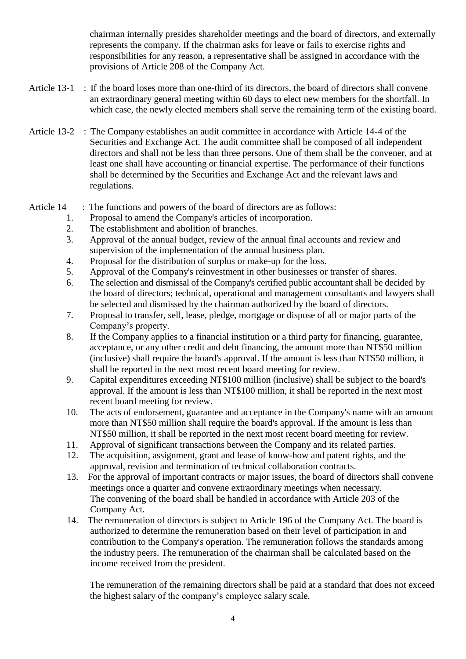chairman internally presides shareholder meetings and the board of directors, and externally represents the company. If the chairman asks for leave or fails to exercise rights and responsibilities for any reason, a representative shall be assigned in accordance with the provisions of Article 208 of the Company Act.

- Article 13-1 : If the board loses more than one-third of its directors, the board of directors shall convene an extraordinary general meeting within 60 days to elect new members for the shortfall. In which case, the newly elected members shall serve the remaining term of the existing board.
- Article 13-2 : The Company establishes an audit committee in accordance with Article 14-4 of the Securities and Exchange Act. The audit committee shall be composed of all independent directors and shall not be less than three persons. One of them shall be the convener, and at least one shall have accounting or financial expertise. The performance of their functions shall be determined by the Securities and Exchange Act and the relevant laws and regulations.

#### Article 14 : The functions and powers of the board of directors are as follows:

- 1. Proposal to amend the Company's articles of incorporation.<br>2. The establishment and abolition of branches.
- The establishment and abolition of branches.
- 3. Approval of the annual budget, review of the annual final accounts and review and supervision of the implementation of the annual business plan.
- 4. Proposal for the distribution of surplus or make-up for the loss.
- 5. Approval of the Company's reinvestment in other businesses or transfer of shares.
- 6. The selection and dismissal of the Company's certified public accountant shall be decided by the board of directors; technical, operational and management consultants and lawyers shall be selected and dismissed by the chairman authorized by the board of directors.
- 7. Proposal to transfer, sell, lease, pledge, mortgage or dispose of all or major parts of the Company's property.
- 8. If the Company applies to a financial institution or a third party for financing, guarantee, acceptance, or any other credit and debt financing, the amount more than NT\$50 million (inclusive) shall require the board's approval. If the amount is less than NT\$50 million, it shall be reported in the next most recent board meeting for review.
- 9. Capital expenditures exceeding NT\$100 million (inclusive) shall be subject to the board's approval. If the amount is less than NT\$100 million, it shall be reported in the next most recent board meeting for review.
- 10. The acts of endorsement, guarantee and acceptance in the Company's name with an amount more than NT\$50 million shall require the board's approval. If the amount is less than NT\$50 million, it shall be reported in the next most recent board meeting for review.
- 11. Approval of significant transactions between the Company and its related parties.
- 12. The acquisition, assignment, grant and lease of know-how and patent rights, and the approval, revision and termination of technical collaboration contracts.
- 13. For the approval of important contracts or major issues, the board of directors shall convene meetings once a quarter and convene extraordinary meetings when necessary. The convening of the board shall be handled in accordance with Article 203 of the Company Act.
- 14. The remuneration of directors is subject to Article 196 of the Company Act. The board is authorized to determine the remuneration based on their level of participation in and contribution to the Company's operation. The remuneration follows the standards among the industry peers. The remuneration of the chairman shall be calculated based on the income received from the president.

The remuneration of the remaining directors shall be paid at a standard that does not exceed the highest salary of the company's employee salary scale.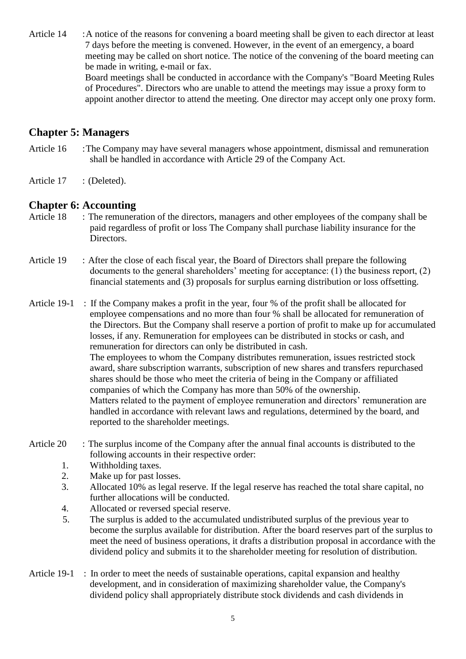Article 14 : A notice of the reasons for convening a board meeting shall be given to each director at least 7 days before the meeting is convened. However, in the event of an emergency, a board meeting may be called on short notice. The notice of the convening of the board meeting can be made in writing, e-mail or fax.

Board meetings shall be conducted in accordance with the Company's "Board Meeting Rules of Procedures". Directors who are unable to attend the meetings may issue a proxy form to appoint another director to attend the meeting. One director may accept only one proxy form.

### **Chapter 5: Managers**

- Article 16 : The Company may have several managers whose appointment, dismissal and remuneration shall be handled in accordance with Article 29 of the Company Act.
- Article 17 : (Deleted).

# **Chapter 6: Accounting**

- Article 18 : The remuneration of the directors, managers and other employees of the company shall be paid regardless of profit or loss The Company shall purchase liability insurance for the Directors.
- Article 19 : After the close of each fiscal year, the Board of Directors shall prepare the following documents to the general shareholders' meeting for acceptance: (1) the business report, (2) financial statements and (3) proposals for surplus earning distribution or loss offsetting.

Article 19-1 : If the Company makes a profit in the year, four % of the profit shall be allocated for employee compensations and no more than four % shall be allocated for remuneration of the Directors. But the Company shall reserve a portion of profit to make up for accumulated losses, if any. Remuneration for employees can be distributed in stocks or cash, and remuneration for directors can only be distributed in cash. The employees to whom the Company distributes remuneration, issues restricted stock award, share subscription warrants, subscription of new shares and transfers repurchased shares should be those who meet the criteria of being in the Company or affiliated companies of which the Company has more than 50% of the ownership. Matters related to the payment of employee remuneration and directors' remuneration are handled in accordance with relevant laws and regulations, determined by the board, and reported to the shareholder meetings.

- Article 20 : The surplus income of the Company after the annual final accounts is distributed to the following accounts in their respective order:
	- 1. Withholding taxes.
	- 2. Make up for past losses.
	- 3. Allocated 10% as legal reserve. If the legal reserve has reached the total share capital, no further allocations will be conducted.
	- 4. Allocated or reversed special reserve.
	- 5. The surplus is added to the accumulated undistributed surplus of the previous year to become the surplus available for distribution. After the board reserves part of the surplus to meet the need of business operations, it drafts a distribution proposal in accordance with the dividend policy and submits it to the shareholder meeting for resolution of distribution.
- Article 19-1 : In order to meet the needs of sustainable operations, capital expansion and healthy development, and in consideration of maximizing shareholder value, the Company's dividend policy shall appropriately distribute stock dividends and cash dividends in